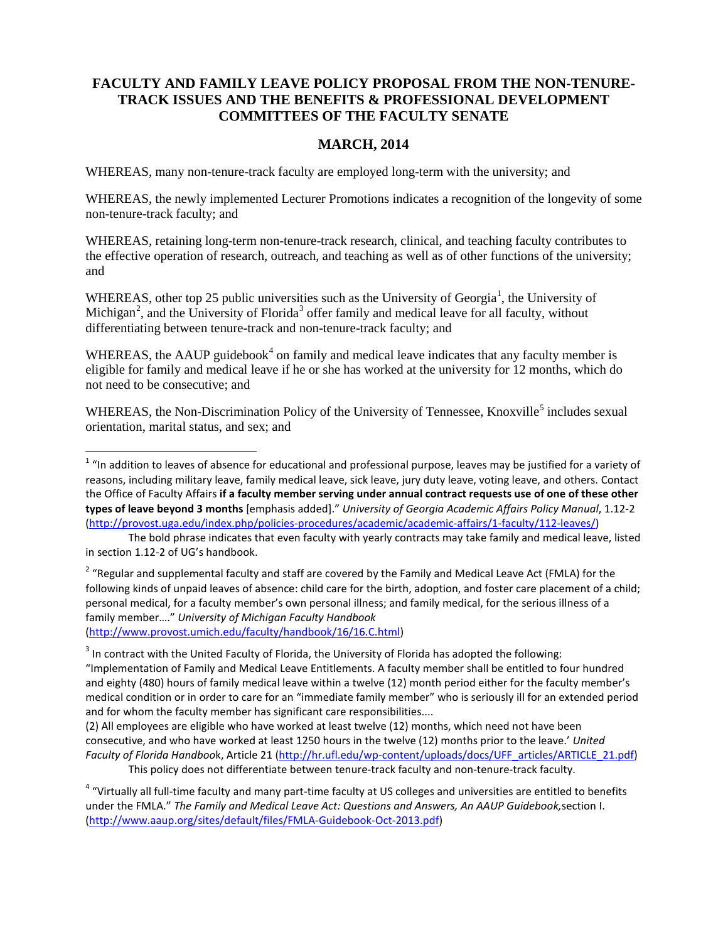### **FACULTY AND FAMILY LEAVE POLICY PROPOSAL FROM THE NON-TENURE-TRACK ISSUES AND THE BENEFITS & PROFESSIONAL DEVELOPMENT COMMITTEES OF THE FACULTY SENATE**

### **MARCH, 2014**

WHEREAS, many non-tenure-track faculty are employed long-term with the university; and

WHEREAS, the newly implemented Lecturer Promotions indicates a recognition of the longevity of some non-tenure-track faculty; and

WHEREAS, retaining long-term non-tenure-track research, clinical, and teaching faculty contributes to the effective operation of research, outreach, and teaching as well as of other functions of the university; and

WHEREAS, other top 25 public universities such as the University of Georgia<sup>[1](#page-0-0)</sup>, the University of Michigan<sup>[2](#page-0-1)</sup>, and the University of Florida<sup>[3](#page-0-2)</sup> offer family and medical leave for all faculty, without differentiating between tenure-track and non-tenure-track faculty; and

WHEREAS, the AAUP guidebook<sup>[4](#page-0-3)</sup> on family and medical leave indicates that any faculty member is eligible for family and medical leave if he or she has worked at the university for 12 months, which do not need to be consecutive; and

WHEREAS, the Non-Discrimination Policy of the University of Tennessee, Knoxville<sup>[5](#page-0-4)</sup> includes sexual orientation, marital status, and sex; and

[\(http://www.provost.umich.edu/faculty/handbook/16/16.C.html\)](http://www.provost.umich.edu/faculty/handbook/16/16.C.html)

<span id="page-0-0"></span> $1$  "In addition to leaves of absence for educational and professional purpose, leaves may be justified for a variety of reasons, including military leave, family medical leave, sick leave, jury duty leave, voting leave, and others. Contact the Office of Faculty Affairs **if a faculty member serving under annual contract requests use of one of these other types of leave beyond 3 months** [emphasis added]." *University of Georgia Academic Affairs Policy Manual*, 1.12-2 [\(http://provost.uga.edu/index.php/policies-procedures/academic/academic-affairs/1-faculty/112-leaves/\)](http://provost.uga.edu/index.php/policies-procedures/academic/academic-affairs/1-faculty/112-leaves/)

The bold phrase indicates that even faculty with yearly contracts may take family and medical leave, listed in section 1.12-2 of UG's handbook.

<span id="page-0-1"></span><sup>&</sup>lt;sup>2</sup> "Regular and supplemental faculty and staff are covered by the Family and Medical Leave Act (FMLA) for the following kinds of unpaid leaves of absence: child care for the birth, adoption, and foster care placement of a child; personal medical, for a faculty member's own personal illness; and family medical, for the serious illness of a family member…." *University of Michigan Faculty Handbook*

<span id="page-0-2"></span><sup>&</sup>lt;sup>3</sup> In contract with the United Faculty of Florida, the University of Florida has adopted the following: "Implementation of Family and Medical Leave Entitlements. A faculty member shall be entitled to four hundred and eighty (480) hours of family medical leave within a twelve (12) month period either for the faculty member's medical condition or in order to care for an "immediate family member" who is seriously ill for an extended period and for whom the faculty member has significant care responsibilities....

<span id="page-0-4"></span><sup>(2)</sup> All employees are eligible who have worked at least twelve (12) months, which need not have been consecutive, and who have worked at least 1250 hours in the twelve (12) months prior to the leave.' *United Faculty of Florida Handboo*k, Article 21 [\(http://hr.ufl.edu/wp-content/uploads/docs/UFF\\_articles/ARTICLE\\_21.pdf\)](http://hr.ufl.edu/wp-content/uploads/docs/UFF_articles/ARTICLE_21.pdf) This policy does not differentiate between tenure-track faculty and non-tenure-track faculty.

<span id="page-0-3"></span><sup>&</sup>lt;sup>4</sup> "Virtually all full-time faculty and many part-time faculty at US colleges and universities are entitled to benefits under the FMLA." *The Family and Medical Leave Act: Questions and Answers, An AAUP Guidebook,*section I. [\(http://www.aaup.org/sites/default/files/FMLA-Guidebook-Oct-2013.pdf\)](http://www.aaup.org/sites/default/files/FMLA-Guidebook-Oct-2013.pdf)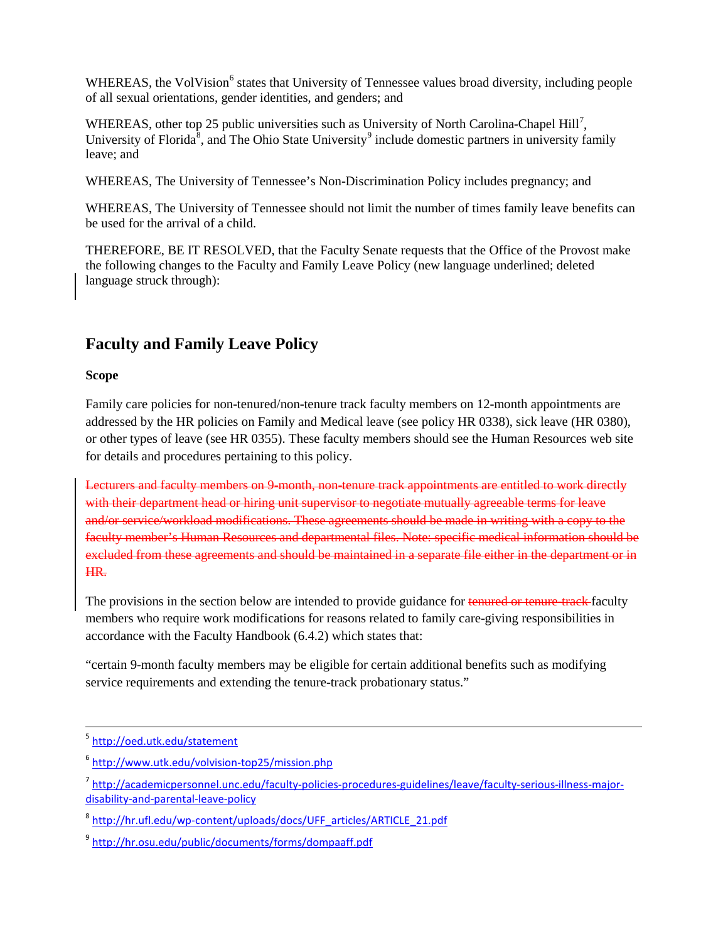WHEREAS, the VolVision<sup>[6](#page-1-0)</sup> states that University of Tennessee values broad diversity, including people of all sexual orientations, gender identities, and genders; and

WHEREAS, other top 25 public universities such as University of North Carolina-Chapel Hill<sup>[7](#page-1-1)</sup>, University of Florida<sup>[8](#page-1-2)</sup>, and The Ohio State University<sup>[9](#page-1-3)</sup> include domestic partners in university family leave; and

WHEREAS, The University of Tennessee's Non-Discrimination Policy includes pregnancy; and

WHEREAS, The University of Tennessee should not limit the number of times family leave benefits can be used for the arrival of a child.

THEREFORE, BE IT RESOLVED, that the Faculty Senate requests that the Office of the Provost make the following changes to the Faculty and Family Leave Policy (new language underlined; deleted language struck through):

## **Faculty and Family Leave Policy**

### **Scope**

Family care policies for non-tenured/non-tenure track faculty members on 12-month appointments are addressed by the HR policies on Family and Medical leave (see policy HR 0338), sick leave (HR 0380), or other types of leave (see HR 0355). These faculty members should see the Human Resources web site for details and procedures pertaining to this policy.

Lecturers and faculty members on 9-month, non-tenure track appointments are entitled to work directly with their department head or hiring unit supervisor to negotiate mutually agreeable terms for leave and/or service/workload modifications. These agreements should be made in writing with a copy to the faculty member's Human Resources and departmental files. Note: specific medical information should be excluded from these agreements and should be maintained in a separate file either in the department or in HR.

The provisions in the section below are intended to provide guidance for tenured or tenure-track-faculty members who require work modifications for reasons related to family care-giving responsibilities in accordance with the Faculty Handbook (6.4.2) which states that:

"certain 9-month faculty members may be eligible for certain additional benefits such as modifying service requirements and extending the tenure-track probationary status."

 <sup>5</sup> <http://oed.utk.edu/statement>

<span id="page-1-0"></span><sup>6</sup> <http://www.utk.edu/volvision-top25/mission.php>

<span id="page-1-1"></span><sup>7</sup> [http://academicpersonnel.unc.edu/faculty-policies-procedures-guidelines/leave/faculty-serious-illness-major](http://academicpersonnel.unc.edu/faculty-policies-procedures-guidelines/leave/faculty-serious-illness-major-disability-and-parental-leave-policy)[disability-and-parental-leave-policy](http://academicpersonnel.unc.edu/faculty-policies-procedures-guidelines/leave/faculty-serious-illness-major-disability-and-parental-leave-policy)

<span id="page-1-2"></span><sup>8</sup> [http://hr.ufl.edu/wp-content/uploads/docs/UFF\\_articles/ARTICLE\\_21.pdf](http://hr.ufl.edu/wp-content/uploads/docs/UFF_articles/ARTICLE_21.pdf)

<span id="page-1-3"></span><sup>9</sup> <http://hr.osu.edu/public/documents/forms/dompaaff.pdf>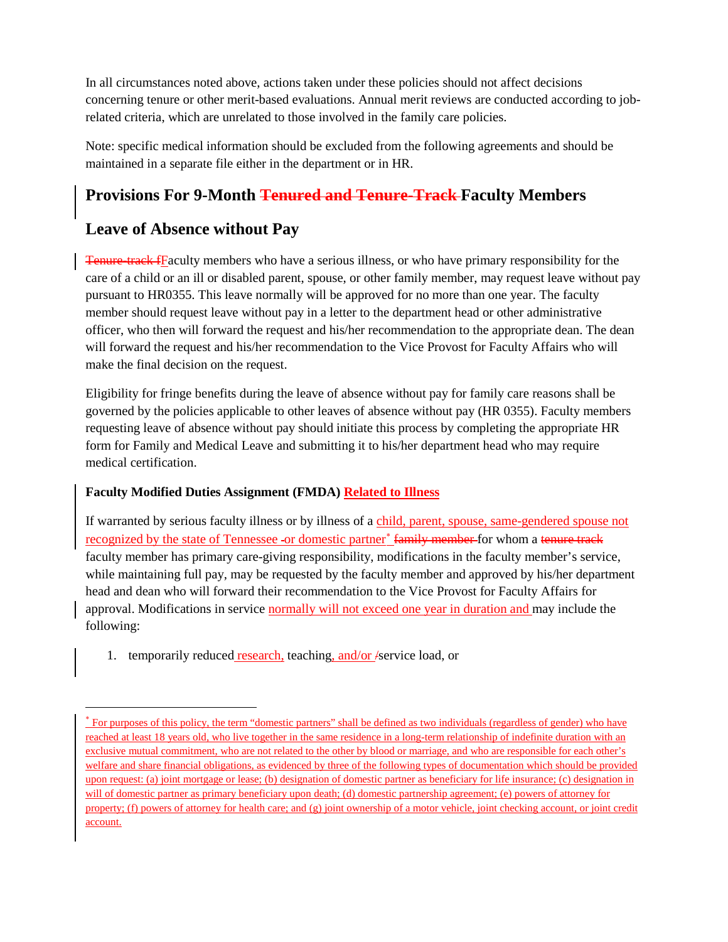In all circumstances noted above, actions taken under these policies should not affect decisions concerning tenure or other merit-based evaluations. Annual merit reviews are conducted according to jobrelated criteria, which are unrelated to those involved in the family care policies.

Note: specific medical information should be excluded from the following agreements and should be maintained in a separate file either in the department or in HR.

# **Provisions For 9-Month Tenured and Tenure-Track Faculty Members**

## **Leave of Absence without Pay**

l

**Tenure-track f**Faculty members who have a serious illness, or who have primary responsibility for the care of a child or an ill or disabled parent, spouse, or other family member, may request leave without pay pursuant to HR0355. This leave normally will be approved for no more than one year. The faculty member should request leave without pay in a letter to the department head or other administrative officer, who then will forward the request and his/her recommendation to the appropriate dean. The dean will forward the request and his/her recommendation to the Vice Provost for Faculty Affairs who will make the final decision on the request.

Eligibility for fringe benefits during the leave of absence without pay for family care reasons shall be governed by the policies applicable to other leaves of absence without pay (HR 0355). Faculty members requesting leave of absence without pay should initiate this process by completing the appropriate HR form for Family and Medical Leave and submitting it to his/her department head who may require medical certification.

### **Faculty Modified Duties Assignment (FMDA) Related to Illness**

If warranted by serious faculty illness or by illness of a child, parent, spouse, same-gendered spouse not recognized by the state of Tennessee -or domestic partner<sup>[∗](#page-2-0)</sup> family member for whom a tenure track faculty member has primary care-giving responsibility, modifications in the faculty member's service, while maintaining full pay, may be requested by the faculty member and approved by his/her department head and dean who will forward their recommendation to the Vice Provost for Faculty Affairs for approval. Modifications in service normally will not exceed one year in duration and may include the following:

1. temporarily reduced research, teaching, and/or /service load, or

<span id="page-2-0"></span><sup>\*</sup> For purposes of this policy, the term "domestic partners" shall be defined as two individuals (regardless of gender) who have reached at least 18 years old, who live together in the same residence in a long-term relationship of indefinite duration with an exclusive mutual commitment, who are not related to the other by blood or marriage, and who are responsible for each other's welfare and share financial obligations, as evidenced by three of the following types of documentation which should be provided upon request: (a) joint mortgage or lease; (b) designation of domestic partner as beneficiary for life insurance; (c) designation in will of domestic partner as primary beneficiary upon death; (d) domestic partnership agreement; (e) powers of attorney for property; (f) powers of attorney for health care; and (g) joint ownership of a motor vehicle, joint checking account, or joint credit account.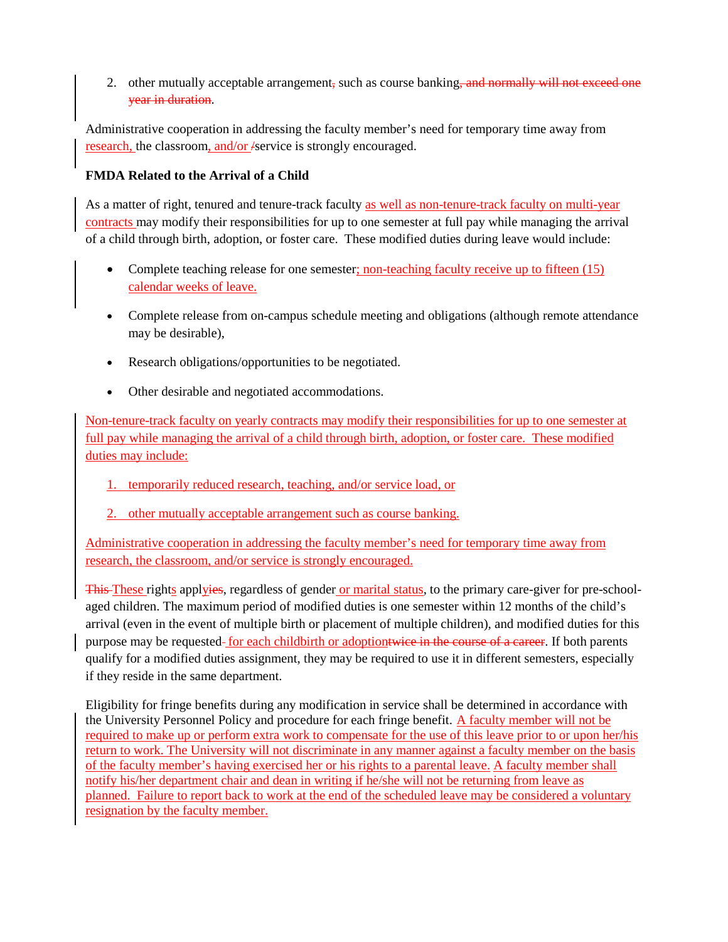2. other mutually acceptable arrangement, such as course banking, and normally will not exceed one year in duration.

Administrative cooperation in addressing the faculty member's need for temporary time away from research, the classroom, and/or /service is strongly encouraged.

### **FMDA Related to the Arrival of a Child**

As a matter of right, tenured and tenure-track faculty as well as non-tenure-track faculty on multi-year contracts may modify their responsibilities for up to one semester at full pay while managing the arrival of a child through birth, adoption, or foster care. These modified duties during leave would include:

- Complete teaching release for one semester; non-teaching faculty receive up to fifteen (15) calendar weeks of leave.
- Complete release from on-campus schedule meeting and obligations (although remote attendance may be desirable),
- Research obligations/opportunities to be negotiated.
- Other desirable and negotiated accommodations.

Non-tenure-track faculty on yearly contracts may modify their responsibilities for up to one semester at full pay while managing the arrival of a child through birth, adoption, or foster care. These modified duties may include:

- 1. temporarily reduced research, teaching, and/or service load, or
- 2. other mutually acceptable arrangement such as course banking.

Administrative cooperation in addressing the faculty member's need for temporary time away from research, the classroom, and/or service is strongly encouraged.

This These rights applyies, regardless of gender or marital status, to the primary care-giver for pre-schoolaged children. The maximum period of modified duties is one semester within 12 months of the child's arrival (even in the event of multiple birth or placement of multiple children), and modified duties for this purpose may be requested-for each childbirth or adoptiontwice in the course of a career. If both parents qualify for a modified duties assignment, they may be required to use it in different semesters, especially if they reside in the same department.

Eligibility for fringe benefits during any modification in service shall be determined in accordance with the University Personnel Policy and procedure for each fringe benefit. A faculty member will not be required to make up or perform extra work to compensate for the use of this leave prior to or upon her/his return to work. The University will not discriminate in any manner against a faculty member on the basis of the faculty member's having exercised her or his rights to a parental leave. A faculty member shall notify his/her department chair and dean in writing if he/she will not be returning from leave as planned. Failure to report back to work at the end of the scheduled leave may be considered a voluntary resignation by the faculty member.